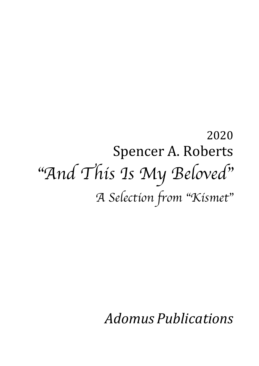2020 Spencer A. Roberts "*And This Is My Beloved*" *A Selection from* "*Kismet*"

*Adomus Publications*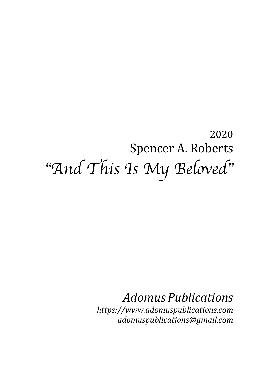## 2020 Spencer A. Roberts "*And This Is My Beloved*"

*Adomus Publications https://www.adomuspublications.com adomuspublications@gmail.com*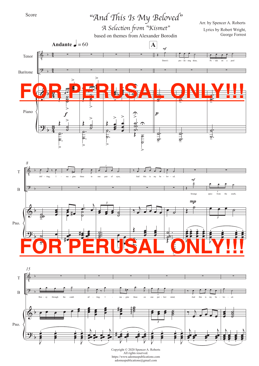



Copyright © 2020 Spencer A. Roberts All rights reserved. https://www.adomuspublications.com adomuspublications@gmail.com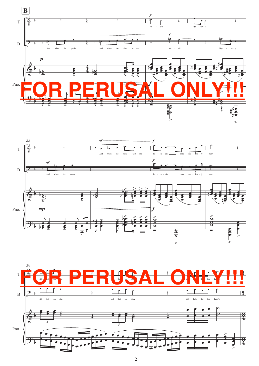



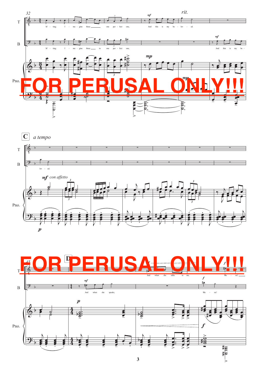



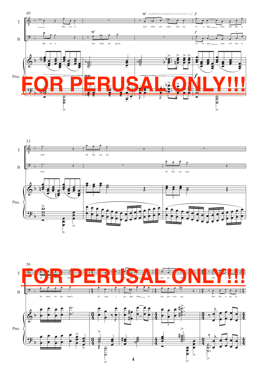